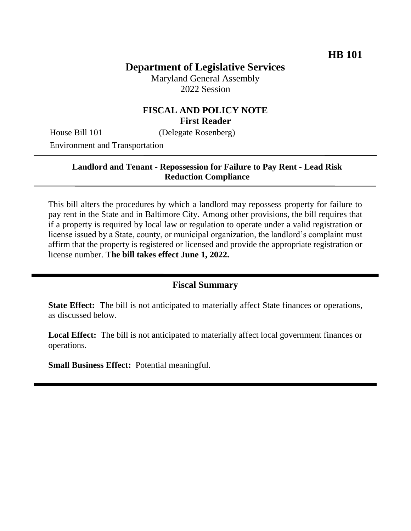## **Department of Legislative Services**

Maryland General Assembly 2022 Session

### **FISCAL AND POLICY NOTE First Reader**

House Bill 101 (Delegate Rosenberg)

Environment and Transportation

#### **Landlord and Tenant - Repossession for Failure to Pay Rent - Lead Risk Reduction Compliance**

This bill alters the procedures by which a landlord may repossess property for failure to pay rent in the State and in Baltimore City. Among other provisions, the bill requires that if a property is required by local law or regulation to operate under a valid registration or license issued by a State, county, or municipal organization, the landlord's complaint must affirm that the property is registered or licensed and provide the appropriate registration or license number. **The bill takes effect June 1, 2022.** 

#### **Fiscal Summary**

**State Effect:** The bill is not anticipated to materially affect State finances or operations, as discussed below.

**Local Effect:** The bill is not anticipated to materially affect local government finances or operations.

**Small Business Effect:** Potential meaningful.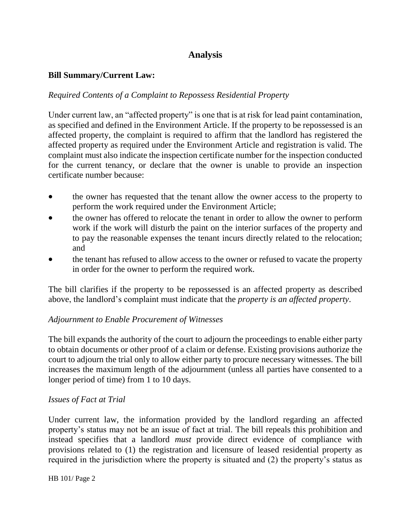# **Analysis**

### **Bill Summary/Current Law:**

### *Required Contents of a Complaint to Repossess Residential Property*

Under current law, an "affected property" is one that is at risk for lead paint contamination, as specified and defined in the Environment Article. If the property to be repossessed is an affected property, the complaint is required to affirm that the landlord has registered the affected property as required under the Environment Article and registration is valid. The complaint must also indicate the inspection certificate number for the inspection conducted for the current tenancy, or declare that the owner is unable to provide an inspection certificate number because:

- the owner has requested that the tenant allow the owner access to the property to perform the work required under the Environment Article;
- the owner has offered to relocate the tenant in order to allow the owner to perform work if the work will disturb the paint on the interior surfaces of the property and to pay the reasonable expenses the tenant incurs directly related to the relocation; and
- the tenant has refused to allow access to the owner or refused to vacate the property in order for the owner to perform the required work.

The bill clarifies if the property to be repossessed is an affected property as described above, the landlord's complaint must indicate that the *property is an affected property*.

#### *Adjournment to Enable Procurement of Witnesses*

The bill expands the authority of the court to adjourn the proceedings to enable either party to obtain documents or other proof of a claim or defense. Existing provisions authorize the court to adjourn the trial only to allow either party to procure necessary witnesses. The bill increases the maximum length of the adjournment (unless all parties have consented to a longer period of time) from 1 to 10 days.

#### *Issues of Fact at Trial*

Under current law, the information provided by the landlord regarding an affected property's status may not be an issue of fact at trial. The bill repeals this prohibition and instead specifies that a landlord *must* provide direct evidence of compliance with provisions related to (1) the registration and licensure of leased residential property as required in the jurisdiction where the property is situated and (2) the property's status as

HB 101/ Page 2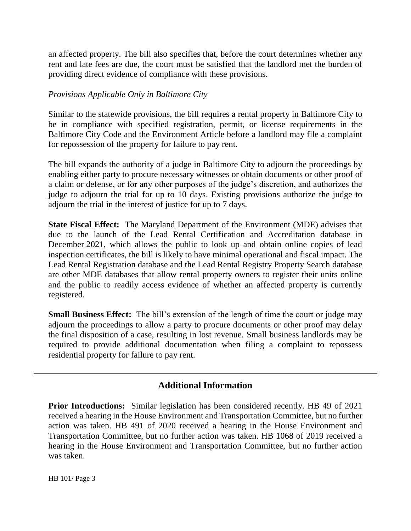an affected property. The bill also specifies that, before the court determines whether any rent and late fees are due, the court must be satisfied that the landlord met the burden of providing direct evidence of compliance with these provisions.

#### *Provisions Applicable Only in Baltimore City*

Similar to the statewide provisions, the bill requires a rental property in Baltimore City to be in compliance with specified registration, permit, or license requirements in the Baltimore City Code and the Environment Article before a landlord may file a complaint for repossession of the property for failure to pay rent.

The bill expands the authority of a judge in Baltimore City to adjourn the proceedings by enabling either party to procure necessary witnesses or obtain documents or other proof of a claim or defense, or for any other purposes of the judge's discretion, and authorizes the judge to adjourn the trial for up to 10 days. Existing provisions authorize the judge to adjourn the trial in the interest of justice for up to 7 days.

**State Fiscal Effect:** The Maryland Department of the Environment (MDE) advises that due to the launch of the Lead Rental Certification and Accreditation database in December 2021, which allows the public to look up and obtain online copies of lead inspection certificates, the bill is likely to have minimal operational and fiscal impact. The Lead Rental Registration database and the Lead Rental Registry Property Search database are other MDE databases that allow rental property owners to register their units online and the public to readily access evidence of whether an affected property is currently registered.

**Small Business Effect:** The bill's extension of the length of time the court or judge may adjourn the proceedings to allow a party to procure documents or other proof may delay the final disposition of a case, resulting in lost revenue. Small business landlords may be required to provide additional documentation when filing a complaint to repossess residential property for failure to pay rent.

## **Additional Information**

**Prior Introductions:** Similar legislation has been considered recently. HB 49 of 2021 received a hearing in the House Environment and Transportation Committee, but no further action was taken. HB 491 of 2020 received a hearing in the House Environment and Transportation Committee, but no further action was taken. HB 1068 of 2019 received a hearing in the House Environment and Transportation Committee, but no further action was taken.